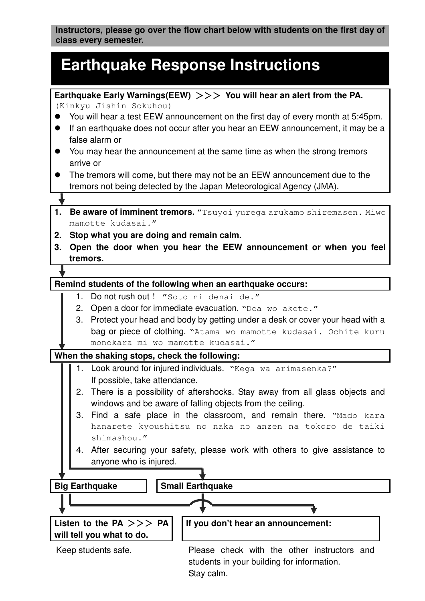**Instructors, please go over the flow chart below with students on the first day of class every semester.**

# **Earthquake Response Instructions**

**Earthquake Early Warnings(EEW)** >>> **You will hear an alert from the PA.** 

(Kinkyu Jishin Sokuhou)

- You will hear a test EEW announcement on the first day of every month at 5:45pm.
- If an earthquake does not occur after you hear an EEW announcement, it may be a false alarm or
- You may hear the announcement at the same time as when the strong tremors arrive or
- The tremors will come, but there may not be an EEW announcement due to the tremors not being detected by the Japan Meteorological Agency (JMA).

Į

- **1. Be aware of imminent tremors.** "Tsuyoi yurega arukamo shiremasen. Miwo mamotte kudasai."
- **2. Stop what you are doing and remain calm.**
- **3. Open the door when you hear the EEW announcement or when you feel tremors.**

# **Remind students of the following when an earthquake occurs:**

- 1. Do not rush out ! "Soto ni denai de."
- 2. Open a door for immediate evacuation. "Doa wo akete."
- 3. Protect your head and body by getting under a desk or cover your head with a bag or piece of clothing. "Atama wo mamotte kudasai. Ochite kuru monokara mi wo mamotte kudasai."

## **When the shaking stops, check the following:**

- 1. Look around for injured individuals. "Kega wa arimasenka?" If possible, take attendance.
- 2. There is a possibility of aftershocks. Stay away from all glass objects and windows and be aware of falling objects from the ceiling.
- 3. Find a safe place in the classroom, and remain there. "Mado kara hanarete kyoushitsu no naka no anzen na tokoro de taiki shimashou."
- 4. After securing your safety, please work with others to give assistance to anyone who is injured.

**Big Earthquake | | Small Earthquake** L **Listen to the PA** >>> **PA will tell you what to do. If you don't hear an announcement:**  Keep students safe. Please check with the other instructors and

students in your building for information. Stay calm.